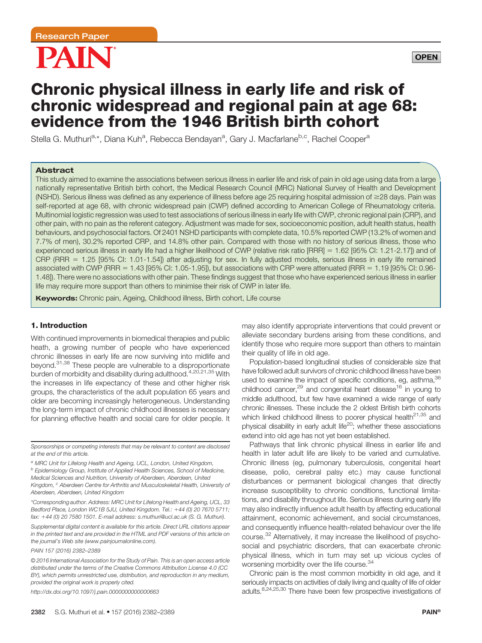# Chronic physical illness in early life and risk of chronic widespread and regional pain at age 68: evidence from the 1946 British birth cohort

Stella G. Muthuri<sup>a,</sup>\*, Diana Kuh<sup>a</sup>, Rebecca Bendayan<sup>a</sup>, Gary J. Macfarlane<sup>b,c</sup>, Rachel Cooper<sup>a</sup>

## Abstract

This study aimed to examine the associations between serious illness in earlier life and risk of pain in old age using data from a large nationally representative British birth cohort, the Medical Research Council (MRC) National Survey of Health and Development (NSHD). Serious illness was defined as any experience of illness before age 25 requiring hospital admission of \$28 days. Pain was self-reported at age 68, with chronic widespread pain (CWP) defined according to American College of Rheumatology criteria. Multinomial logistic regression was used to test associations of serious illness in early life with CWP, chronic regional pain (CRP), and other pain, with no pain as the referent category. Adjustment was made for sex, socioeconomic position, adult health status, health behaviours, and psychosocial factors. Of 2401 NSHD participants with complete data, 10.5% reported CWP (13.2% of women and 7.7% of men), 30.2% reported CRP, and 14.8% other pain. Compared with those with no history of serious illness, those who experienced serious illness in early life had a higher likelihood of CWP (relative risk ratio [RRR] = 1.62 [95% CI: 1.21-2.17]) and of CRP (RRR = 1.25 [95% CI: 1.01-1.54]) after adjusting for sex. In fully adjusted models, serious illness in early life remained associated with CWP (RRR = 1.43 [95% CI: 1.05-1.95]), but associations with CRP were attenuated (RRR = 1.19 [95% CI: 0.96-1.48]). There were no associations with other pain. These findings suggest that those who have experienced serious illness in earlier life may require more support than others to minimise their risk of CWP in later life.

Keywords: Chronic pain, Ageing, Childhood illness, Birth cohort, Life course

## 1. Introduction

With continued improvements in biomedical therapies and public heath, a growing number of people who have experienced chronic illnesses in early life are now surviving into midlife and beyond.<sup>31,38</sup> These people are vulnerable to a disproportionate burden of morbidity and disability during adulthood.<sup>4,20,21,35</sup> With the increases in life expectancy of these and other higher risk groups, the characteristics of the adult population 65 years and older are becoming increasingly heterogeneous. Understanding the long-term impact of chronic childhood illnesses is necessary for planning effective health and social care for older people. It

Sponsorships or competing interests that may be relevant to content are disclosed at the end of this article.

<sup>a</sup> MRC Unit for Lifelong Health and Ageing, UCL, London, United Kingdom, <sup>b</sup> Epidemiology Group, Institute of Applied Health Sciences, School of Medicine, Medical Sciences and Nutrition, University of Aberdeen, Aberdeen, United Kingdom, <sup>c</sup> Aberdeen Centre for Arthritis and Musculoskeletal Health, University of Aberdeen, Aberdeen, United Kingdom

\*Corresponding author. Address: MRC Unit for Lifelong Health and Ageing, UCL, 33 Bedford Place, London WC1B 5JU, United Kingdom. Tel.: +44 (0) 20 7670 5711; fax: 144 (0) 20 7580 1501. E-mail address: [s.muthuri@ucl.ac.uk](mailto:s.muthuri@ucl.ac.uk) (S. G. Muthuri).

Supplemental digital content is available for this article. Direct URL citations appear in the printed text and are provided in the HTML and PDF versions of this article on the journal's Web site [\(www.painjournalonline.com](http://www.painjournalonline.com)).

PAIN 157 (2016) 2382–2389

<http://dx.doi.org/10.1097/j.pain.0000000000000663>

may also identify appropriate interventions that could prevent or alleviate secondary burdens arising from these conditions, and identify those who require more support than others to maintain their quality of life in old age.

Population-based longitudinal studies of considerable size that have followed adult survivors of chronic childhood illness have been used to examine the impact of specific conditions, eg, asthma, 36 childhood cancer, $29$  and congenital heart disease<sup>16</sup> in young to middle adulthood, but few have examined a wide range of early chronic illnesses. These include the 2 oldest British birth cohorts which linked childhood illness to poorer physical health $^{21,35}$  and physical disability in early adult life<sup>20</sup>; whether these associations extend into old age has not yet been established.

Pathways that link chronic physical illness in earlier life and health in later adult life are likely to be varied and cumulative. Chronic illness (eg, pulmonary tuberculosis, congenital heart disease, polio, cerebral palsy etc.) may cause functional disturbances or permanent biological changes that directly increase susceptibility to chronic conditions, functional limitations, and disability throughout life. Serious illness during early life may also indirectly influence adult health by affecting educational attainment, economic achievement, and social circumstances, and consequently influence health-related behaviour over the life course.<sup>32</sup> Alternatively, it may increase the likelihood of psychosocial and psychiatric disorders, that can exacerbate chronic physical illness, which in turn may set up vicious cycles of worsening morbidity over the life course.<sup>34</sup>

Chronic pain is the most common morbidity in old age, and it seriously impacts on activities of daily living and quality of life of older adults.8,24,25,30 There have been few prospective investigations of

<sup>©</sup> 2016 International Association for the Study of Pain. This is an open access article distributed under the terms of the Creative Commons Attribution License 4.0 (CC BY), which permits unrestricted use, distribution, and reproduction in any medium, provided the original work is properly cited.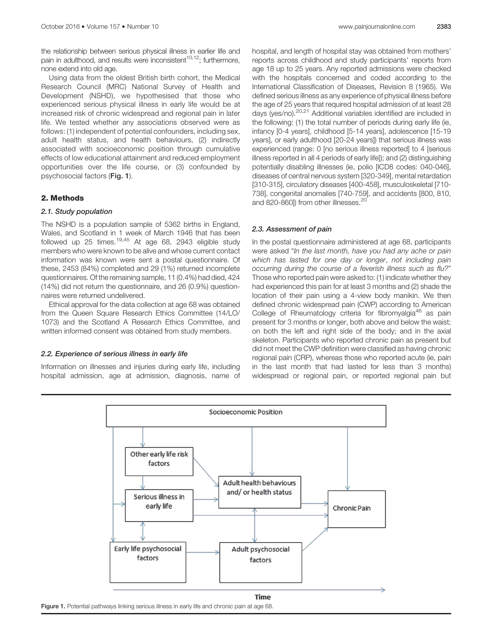the relationship between serious physical illness in earlier life and pain in adulthood, and results were inconsistent  $10,12$ ; furthermore, none extend into old age.

Using data from the oldest British birth cohort, the Medical Research Council (MRC) National Survey of Health and Development (NSHD), we hypothesised that those who experienced serious physical illness in early life would be at increased risk of chronic widespread and regional pain in later life. We tested whether any associations observed were as follows: (1) independent of potential confounders, including sex, adult health status, and health behaviours, (2) indirectly associated with socioeconomic position through cumulative effects of low educational attainment and reduced employment opportunities over the life course, or (3) confounded by psychosocial factors (Fig. 1).

## 2. Methods

## 2.1. Study population

The NSHD is a population sample of 5362 births in England, Wales, and Scotland in 1 week of March 1946 that has been followed up 25 times.19,45 At age 68, 2943 eligible study members who were known to be alive and whose current contact information was known were sent a postal questionnaire. Of these, 2453 (84%) completed and 29 (1%) returned incomplete questionnaires. Of the remaining sample, 11 (0.4%) had died, 424 (14%) did not return the questionnaire, and 26 (0.9%) questionnaires were returned undelivered.

Ethical approval for the data collection at age 68 was obtained from the Queen Square Research Ethics Committee (14/LO/ 1073) and the Scotland A Research Ethics Committee, and written informed consent was obtained from study members.

## 2.2. Experience of serious illness in early life

Information on illnesses and injuries during early life, including hospital admission, age at admission, diagnosis, name of hospital, and length of hospital stay was obtained from mothers' reports across childhood and study participants' reports from age 18 up to 25 years. Any reported admissions were checked with the hospitals concerned and coded according to the International Classification of Diseases, Revision 8 (1965). We defined serious illness as any experience of physical illness before the age of 25 years that required hospital admission of at least 28 days (yes/no).20,21 Additional variables identified are included in the following: (1) the total number of periods during early life (ie, infancy [0-4 years], childhood [5-14 years], adolescence [15-19 years], or early adulthood [20-24 years]) that serious illness was experienced (range: 0 [no serious illness reported] to 4 [serious illness reported in all 4 periods of early life]); and (2) distinguishing potentially disabling illnesses (ie, polio [ICD8 codes: 040-046], diseases of central nervous system [320-349], mental retardation [310-315], circulatory diseases [400-458], musculoskeletal [710- 738], congenital anomalies [740-759], and accidents [800, 810, and 820-860]) from other illnesses.<sup>20</sup>

## 2.3. Assessment of pain

In the postal questionnaire administered at age 68, participants were asked "In the last month, have you had any ache or pain which has lasted for one day or longer, not including pain occurring during the course of a feverish illness such as flu?" Those who reported pain were asked to: (1) indicate whether they had experienced this pain for at least 3 months and (2) shade the location of their pain using a 4-view body manikin. We then defined chronic widespread pain (CWP) according to American College of Rheumatology criteria for fibromyalgia<sup>46</sup> as pain present for 3 months or longer, both above and below the waist; on both the left and right side of the body; and in the axial skeleton. Participants who reported chronic pain as present but did not meet the CWP definition were classified as having chronic regional pain (CRP), whereas those who reported acute (ie, pain in the last month that had lasted for less than 3 months) widespread or regional pain, or reported regional pain but



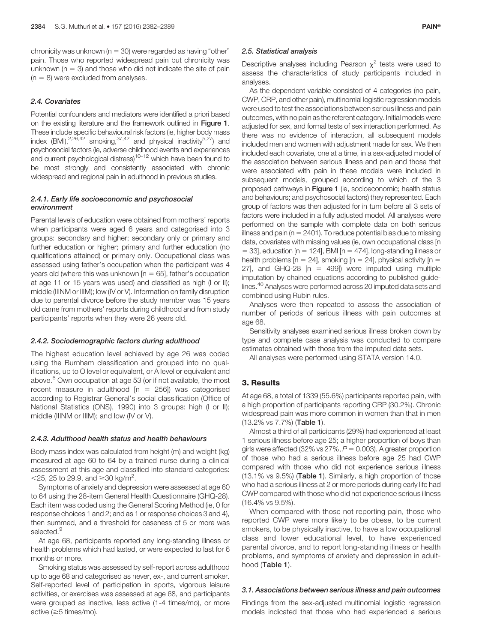chronicity was unknown ( $n = 30$ ) were regarded as having "other" pain. Those who reported widespread pain but chronicity was unknown ( $n = 3$ ) and those who did not indicate the site of pain  $(n = 8)$  were excluded from analyses.

## 2.4. Covariates

Potential confounders and mediators were identified a priori based on the existing literature and the framework outlined in Figure 1. These include specific behavioural risk factors (ie, higher body mass index  $(BMI),^{2,26,42}$  smoking,  $37,42$  and physical inactivity<sup>5,27</sup>) and psychosocial factors (ie, adverse childhood events and experiences and current psychological distress)<sup>10–12</sup> which have been found to be most strongly and consistently associated with chronic widespread and regional pain in adulthood in previous studies.

## 2.4.1. Early life socioeconomic and psychosocial environment

Parental levels of education were obtained from mothers' reports when participants were aged 6 years and categorised into 3 groups: secondary and higher; secondary only or primary and further education or higher; primary and further education (no qualifications attained) or primary only. Occupational class was assessed using father's occupation when the participant was 4 years old (where this was unknown  $[n = 65]$ , father's occupation at age 11 or 15 years was used) and classified as high (I or II); middle (IIINM or IIIM); low (IV or V). Information on family disruption due to parental divorce before the study member was 15 years old came from mothers' reports during childhood and from study participants' reports when they were 26 years old.

## 2.4.2. Sociodemographic factors during adulthood

The highest education level achieved by age 26 was coded using the Burnham classification and grouped into no qualifications, up to O level or equivalent, or A level or equivalent and above.<sup>6</sup> Own occupation at age 53 (or if not available, the most recent measure in adulthood  $[n = 256]$ ) was categorised according to Registrar General's social classification (Office of National Statistics (ONS), 1990) into 3 groups: high (I or II); middle (IIINM or IIIM); and low (IV or V).

### 2.4.3. Adulthood health status and health behaviours

Body mass index was calculated from height (m) and weight (kg) measured at age 60 to 64 by a trained nurse during a clinical assessment at this age and classified into standard categories:  $<$ 25, 25 to 29.9, and  $\geq$ 30 kg/m<sup>2</sup>.

Symptoms of anxiety and depression were assessed at age 60 to 64 using the 28-item General Health Questionnaire (GHQ-28). Each item was coded using the General Scoring Method (ie, 0 for response choices 1 and 2; and as 1 or response choices 3 and 4), then summed, and a threshold for caseness of 5 or more was selected.<sup>9</sup>

At age 68, participants reported any long-standing illness or health problems which had lasted, or were expected to last for 6 months or more.

Smoking status was assessed by self-report across adulthood up to age 68 and categorised as never, ex-, and current smoker. Self-reported level of participation in sports, vigorous leisure activities, or exercises was assessed at age 68, and participants were grouped as inactive, less active (1-4 times/mo), or more active  $(\geq 5$  times/mo).

## 2.5. Statistical analysis

Descriptive analyses including Pearson  $\chi^2$  tests were used to assess the characteristics of study participants included in analyses.

As the dependent variable consisted of 4 categories (no pain, CWP, CRP, and other pain), multinomial logistic regression models were used to test the associations between serious illness and pain outcomes, with no pain as the referent category. Initial models were adjusted for sex, and formal tests of sex interaction performed. As there was no evidence of interaction, all subsequent models included men and women with adjustment made for sex. We then included each covariate, one at a time, in a sex-adjusted model of the association between serious illness and pain and those that were associated with pain in these models were included in subsequent models, grouped according to which of the 3 proposed pathways in Figure 1 (ie, socioeconomic; health status and behaviours; and psychosocial factors) they represented. Each group of factors was then adjusted for in turn before all 3 sets of factors were included in a fully adjusted model. All analyses were performed on the sample with complete data on both serious illness and pain ( $n = 2401$ ). To reduce potential bias due to missing data, covariates with missing values (ie, own occupational class [n  $=$  33], education [n = 124], BMI [n = 474], long-standing illness or health problems  $[n = 24]$ , smoking  $[n = 24]$ , physical activity  $[n = 1]$ 27], and GHQ-28  $[n = 499]$ ) were imputed using multiple imputation by chained equations according to published guidelines.<sup>40</sup> Analyses were performed across 20 imputed data sets and combined using Rubin rules.

Analyses were then repeated to assess the association of number of periods of serious illness with pain outcomes at age 68.

Sensitivity analyses examined serious illness broken down by type and complete case analysis was conducted to compare estimates obtained with those from the imputed data sets.

All analyses were performed using STATA version 14.0.

## 3. Results

At age 68, a total of 1339 (55.6%) participants reported pain, with a high proportion of participants reporting CRP (30.2%). Chronic widespread pain was more common in women than that in men (13.2% vs 7.7%) (Table 1).

Almost a third of all participants (29%) had experienced at least 1 serious illness before age 25; a higher proportion of boys than girls were affected (32% vs 27%,  $P = 0.003$ ). A greater proportion of those who had a serious illness before age 25 had CWP compared with those who did not experience serious illness (13.1% vs 9.5%) (Table 1). Similarly, a high proportion of those who had a serious illness at 2 or more periods during early life had CWP compared with those who did not experience serious illness (16.4% vs 9.5%).

When compared with those not reporting pain, those who reported CWP were more likely to be obese, to be current smokers, to be physically inactive, to have a low occupational class and lower educational level, to have experienced parental divorce, and to report long-standing illness or health problems, and symptoms of anxiety and depression in adulthood (Table 1).

## 3.1. Associations between serious illness and pain outcomes

Findings from the sex-adjusted multinomial logistic regression models indicated that those who had experienced a serious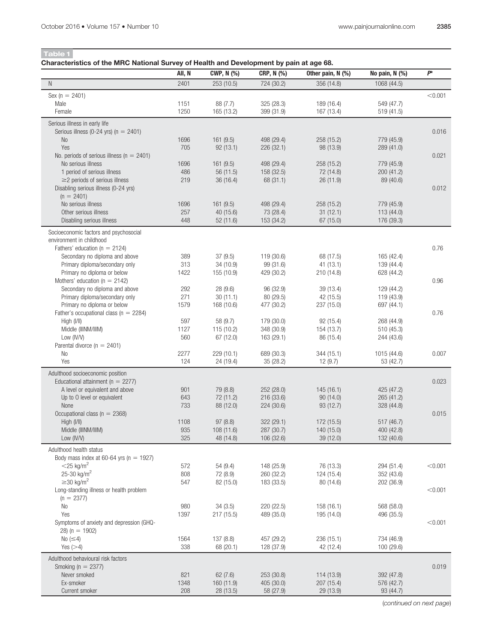## Table 1

Characteristics of the MRC National Survey of Health and Development by pain at age 68.

|                                                                           | All, N      | <b>CWP, N (%)</b>      | <b>CRP, N (%)</b>        | Other pain, N (%)        | No pain, N (%)           | $P^*$   |
|---------------------------------------------------------------------------|-------------|------------------------|--------------------------|--------------------------|--------------------------|---------|
| $\mathsf N$                                                               | 2401        | 253 (10.5)             | 724 (30.2)               | 356 (14.8)               | 1068 (44.5)              |         |
| $Sex (n = 2401)$                                                          |             |                        |                          |                          |                          | < 0.001 |
| Male                                                                      | 1151        | 88 (7.7)               | 325 (28.3)               | 189 (16.4)               | 549 (47.7)               |         |
| Female                                                                    | 1250        | 165 (13.2)             | 399 (31.9)               | 167 (13.4)               | 519 (41.5)               |         |
| Serious illness in early life                                             |             |                        |                          |                          |                          |         |
| Serious illness (0-24 yrs) ( $n = 2401$ )                                 |             |                        |                          |                          |                          | 0.016   |
| No                                                                        | 1696        | 161(9.5)               | 498 (29.4)               | 258 (15.2)               | 779 (45.9)               |         |
| Yes                                                                       | 705         | 92(13.1)               | 226 (32.1)               | 98 (13.9)                | 289 (41.0)               |         |
| No. periods of serious illness ( $n = 2401$ )                             |             |                        |                          |                          |                          | 0.021   |
| No serious illness                                                        | 1696        | 161(9.5)               | 498 (29.4)               | 258 (15.2)               | 779 (45.9)               |         |
| 1 period of serious illness<br>$\geq$ 2 periods of serious illness        | 486<br>219  | 56 (11.5)<br>36 (16.4) | 158 (32.5)<br>68 (31.1)  | 72 (14.8)<br>26 (11.9)   | 200(41.2)<br>89 (40.6)   |         |
| Disabling serious illness (0-24 yrs)                                      |             |                        |                          |                          |                          | 0.012   |
| $(n = 2401)$                                                              |             |                        |                          |                          |                          |         |
| No serious illness                                                        | 1696        | 161(9.5)               | 498 (29.4)               | 258 (15.2)               | 779 (45.9)               |         |
| Other serious illness                                                     | 257         | 40 (15.6)              | 73 (28.4)                | 31(12.1)                 | 113 (44.0)               |         |
| Disabling serious illness                                                 | 448         | 52(11.6)               | 153 (34.2)               | 67 (15.0)                | 176 (39.3)               |         |
| Socioeconomic factors and psychosocial                                    |             |                        |                          |                          |                          |         |
| environment in childhood                                                  |             |                        |                          |                          |                          |         |
| Fathers' education ( $n = 2124$ )                                         |             |                        |                          |                          |                          | 0.76    |
| Secondary no diploma and above                                            | 389         | 37(9.5)                | 119 (30.6)               | 68 (17.5)                | 165 (42.4)               |         |
| Primary diploma/secondary only                                            | 313         | 34 (10.9)              | 99 (31.6)                | 41(13.1)                 | 139 (44.4)               |         |
| Primary no diploma or below                                               | 1422        | 155 (10.9)             | 429 (30.2)               | 210 (14.8)               | 628 (44.2)               |         |
| Mothers' education ( $n = 2142$ )<br>Secondary no diploma and above       | 292         | 28 (9.6)               | 96 (32.9)                | 39 (13.4)                | 129 (44.2)               | 0.96    |
| Primary diploma/secondary only                                            | 271         | 30(11.1)               | 80 (29.5)                | 42 (15.5)                | 119 (43.9)               |         |
| Primary no diploma or below                                               | 1579        | 168 (10.6)             | 477 (30.2)               | 237 (15.0)               | 697 (44.1)               |         |
| Father's occupational class ( $n = 2284$ )                                |             |                        |                          |                          |                          | 0.76    |
| High $(I/II)$                                                             | 597         | 58 (9.7)               | 179 (30.0)               | 92 (15.4)                | 268 (44.9)               |         |
| Middle (IIINM/IIIM)                                                       | 1127        | 115 (10.2)             | 348 (30.9)               | 154 (13.7)               | 510 (45.3)               |         |
| Low (IV/V)                                                                | 560         | 67 (12.0)              | 163 (29.1)               | 86 (15.4)                | 244 (43.6)               |         |
| Parental divorce ( $n = 2401$ )                                           |             |                        |                          |                          |                          |         |
| No<br>Yes                                                                 | 2277<br>124 | 229(10.1)<br>24 (19.4) | 689 (30.3)<br>35 (28.2)  | 344 (15.1)<br>12(9.7)    | 1015 (44.6)<br>53 (42.7) | 0.007   |
|                                                                           |             |                        |                          |                          |                          |         |
| Adulthood socioeconomic position<br>Educational attainment ( $n = 2277$ ) |             |                        |                          |                          |                          | 0.023   |
| A level or equivalent and above                                           | 901         | 79 (8.8)               | 252 (28.0)               | 145(16.1)                | 425 (47.2)               |         |
| Up to 0 level or equivalent                                               | 643         | 72 (11.2)              | 216 (33.6)               | 90(14.0)                 | 265 (41.2)               |         |
| None                                                                      | 733         | 88 (12.0)              | 224 (30.6)               | 93(12.7)                 | 328 (44.8)               |         |
| Occupational class ( $n = 2368$ )                                         |             |                        |                          |                          |                          | 0.015   |
| High $(I/II)$                                                             | 1108        | 97(8.8)                | 322 (29.1)               | 172 (15.5)               | 517 (46.7)               |         |
| Middle (IIINM/IIIM)                                                       | 935         | 108 (11.6)             | 287 (30.7)               | 140 (15.0)               | 400 (42.8)               |         |
| Low (IV/V)                                                                | 325         | 48 (14.8)              | 106 (32.6)               | 39 (12.0)                | 132 (40.6)               |         |
| Adulthood health status                                                   |             |                        |                          |                          |                          |         |
| Body mass index at 60-64 yrs ( $n = 1927$ )                               |             |                        |                          |                          |                          |         |
| $<$ 25 kg/m <sup>2</sup>                                                  | 572         | 54 (9.4)               | 148 (25.9)               | 76 (13.3)                | 294 (51.4)               | < 0.001 |
| 25-30 kg/m <sup>2</sup><br>$\geq$ 30 kg/m <sup>2</sup>                    | 808<br>547  | 72 (8.9)<br>82 (15.0)  | 260 (32.2)<br>183 (33.5) | 124 (15.4)<br>80 (14.6)  | 352 (43.6)<br>202 (36.9) |         |
| Long-standing illness or health problem                                   |             |                        |                          |                          |                          | < 0.001 |
| $(n = 2377)$                                                              |             |                        |                          |                          |                          |         |
| No                                                                        | 980         | 34(3.5)                | 220 (22.5)               | 158 (16.1)               | 568 (58.0)               |         |
| Yes                                                                       | 1397        | 217 (15.5)             | 489 (35.0)               | 195 (14.0)               | 496 (35.5)               |         |
| Symptoms of anxiety and depression (GHQ-                                  |             |                        |                          |                          |                          | < 0.001 |
| $28$ ) (n = 1902)                                                         |             |                        |                          |                          |                          |         |
| No $(\leq 4)$                                                             | 1564        | 137 (8.8)              | 457 (29.2)               | 236 (15.1)               | 734 (46.9)               |         |
| Yes $(>=4)$                                                               | 338         | 68 (20.1)              | 128 (37.9)               | 42 (12.4)                | 100 (29.6)               |         |
| Adulthood behavioural risk factors                                        |             |                        |                          |                          |                          |         |
| Smoking ( $n = 2377$ )                                                    |             |                        |                          |                          |                          | 0.019   |
| Never smoked<br>Ex-smoker                                                 | 821<br>1348 | 62(7.6)<br>160 (11.9)  | 253 (30.8)<br>405 (30.0) | 114 (13.9)<br>207 (15.4) | 392 (47.8)<br>576 (42.7) |         |
| Current smoker                                                            | 208         | 28 (13.5)              | 58 (27.9)                | 29 (13.9)                | 93 (44.7)                |         |
|                                                                           |             |                        |                          |                          |                          |         |

(continued on next page)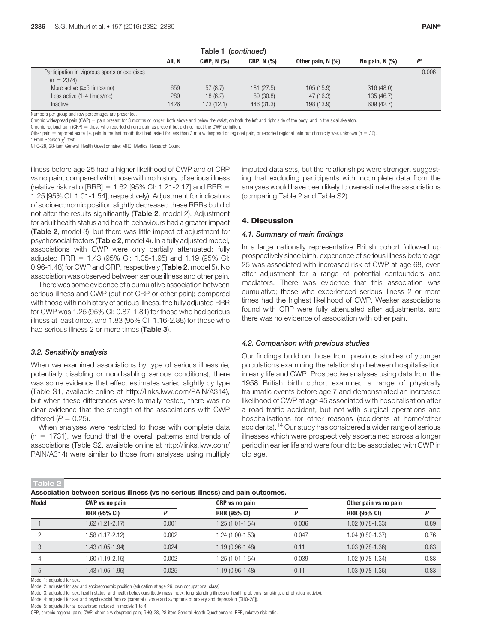|                                                               | Table 1<br>(continued) |                   |                   |                     |                  |       |
|---------------------------------------------------------------|------------------------|-------------------|-------------------|---------------------|------------------|-------|
|                                                               | aii. N                 | <b>CWP. N (%)</b> | <b>CRP. N (%)</b> | Other pain, $N(\%)$ | No pain, $N(\%)$ | D*    |
| Participation in vigorous sports or exercises<br>$(n = 2374)$ |                        |                   |                   |                     |                  | 0.006 |
| More active $(\geq 5 \text{ times/mol})$                      | 659                    | 57(8.7)           | 181(27.5)         | 105(15.9)           | 316 (48.0)       |       |
| Less active (1-4 times/mo)                                    | 289                    | 18(6.2)           | 89 (30.8)         | 47 (16.3)           | 135 (46.7)       |       |
| Inactive                                                      | 1426                   | 173 (12.1)        | 446 (31.3)        | 198 (13.9)          | 609 (42.7)       |       |

Numbers per group and row percentages are presented.

Chronic widespread pain (CWP) = pain present for 3 months or longer, both above and below the waist; on both the left and right side of the body; and in the axial skeleton.

Chronic regional pain (CRP)  $=$  those who reported chronic pain as present but did not meet the CWP definition.

Other pain = reported acute (ie, pain in the last month that had lasted for less than 3 mo) widespread or regional pain, or reported regional pain but chronicity was unknown (n = 30).

\* From Pearson  $x^2$  test.

GHQ-28, 28-item General Health Questionnaire; MRC, Medical Research Council.

illness before age 25 had a higher likelihood of CWP and of CRP vs no pain, compared with those with no history of serious illness (relative risk ratio [RRR] = 1.62 [95% CI: 1.21-2.17] and RRR = 1.25 [95% CI: 1.01-1.54], respectively). Adjustment for indicators of socioeconomic position slightly decreased these RRRs but did not alter the results significantly (Table 2, model 2). Adjustment for adult health status and health behaviours had a greater impact (Table 2, model 3), but there was little impact of adjustment for psychosocial factors (Table 2, model 4). In a fully adjusted model, associations with CWP were only partially attenuated; fully adjusted RRR = 1.43 (95% CI: 1.05-1.95) and 1.19 (95% CI: 0.96-1.48) for CWP and CRP, respectively (Table 2, model 5). No association was observed between serious illness and other pain.

There was some evidence of a cumulative association between serious illness and CWP (but not CRP or other pain); compared with those with no history of serious illness, the fully adjusted RRR for CWP was 1.25 (95% CI: 0.87-1.81) for those who had serious illness at least once, and 1.83 (95% CI: 1.16-2.88) for those who had serious illness 2 or more times (Table 3).

## 3.2. Sensitivity analysis

When we examined associations by type of serious illness (ie, potentially disabling or nondisabling serious conditions), there was some evidence that effect estimates varied slightly by type (Table S1, available online at<http://links.lww.com/PAIN/A314>), but when these differences were formally tested, there was no clear evidence that the strength of the associations with CWP differed  $(P = 0.25)$ .

When analyses were restricted to those with complete data  $(n = 1731)$ , we found that the overall patterns and trends of associations (Table S2, available online at [http://links.lww.com/](http://links.lww.com/PAIN/A314) [PAIN/A314](http://links.lww.com/PAIN/A314)) were similar to those from analyses using multiply imputed data sets, but the relationships were stronger, suggesting that excluding participants with incomplete data from the analyses would have been likely to overestimate the associations (comparing Table 2 and Table S2).

## 4. Discussion

## 4.1. Summary of main findings

In a large nationally representative British cohort followed up prospectively since birth, experience of serious illness before age 25 was associated with increased risk of CWP at age 68, even after adjustment for a range of potential confounders and mediators. There was evidence that this association was cumulative; those who experienced serious illness 2 or more times had the highest likelihood of CWP. Weaker associations found with CRP were fully attenuated after adjustments, and there was no evidence of association with other pain.

## 4.2. Comparison with previous studies

Our findings build on those from previous studies of younger populations examining the relationship between hospitalisation in early life and CWP. Prospective analyses using data from the 1958 British birth cohort examined a range of physically traumatic events before age 7 and demonstrated an increased likelihood of CWP at age 45 associated with hospitalisation after a road traffic accident, but not with surgical operations and hospitalisations for other reasons (accidents at home/other accidents).<sup>14</sup> Our study has considered a wider range of serious illnesses which were prospectively ascertained across a longer period in earlier life and were found to be associated with CWP in old age.

Association between serious illness (vs no serious illness) and pain outcomes.

|       |                       |       | הטסטטאט וווויסטטן מווי טאטווטע טאטווייטשט וווויסטטן מווע פעווירטעריווויט |       |                       |      |
|-------|-----------------------|-------|--------------------------------------------------------------------------|-------|-----------------------|------|
| Model | <b>CWP vs no pain</b> |       | CRP vs no pain                                                           |       | Other pain vs no pain |      |
|       | <b>RRR (95% CI)</b>   |       | <b>RRR (95% CI)</b>                                                      |       | <b>RRR (95% CI)</b>   |      |
|       | $1.62(1.21 - 2.17)$   | 0.001 | $1.25(1.01 - 1.54)$                                                      | 0.036 | $1.02(0.78-1.33)$     | 0.89 |
|       | 1.58 (1.17-2.12)      | 0.002 | 1.24 (1.00-1.53)                                                         | 0.047 | 1.04 (0.80-1.37)      | 0.76 |
|       | 1.43 (1.05-1.94)      | 0.024 | $1.19(0.96 - 1.48)$                                                      | 0.11  | 1.03 (0.78-1.36)      | 0.83 |
|       | 1.60 (1.19-2.15)      | 0.002 | 1.25 (1.01-1.54)                                                         | 0.039 | 1.02 (0.78-1.34)      | 0.88 |
| 5.    | 1.43 (1.05-1.95)      | 0.025 | 1.19 (0.96-1.48)                                                         | 0.11  | 1.03 (0.78-1.36)      | 0.83 |

Model 1: adjusted for sex.

Model 2: adjusted for sex and socioeconomic position (education at age 26, own occupational class).

Model 3: adjusted for sex, health status, and health behaviours (body mass index, long-standing illness or health problems, smoking, and physical activity).

Model 4: adjusted for sex and psychosocial factors (parental divorce and symptoms of anxiety and depression [GHQ-28]).

Model 5: adjusted for all covariates included in models 1 to 4.

CRP, chronic regional pain; CWP, chronic widespread pain; GHQ-28, 28-item General Health Questionnaire; RRR, relative risk ratio.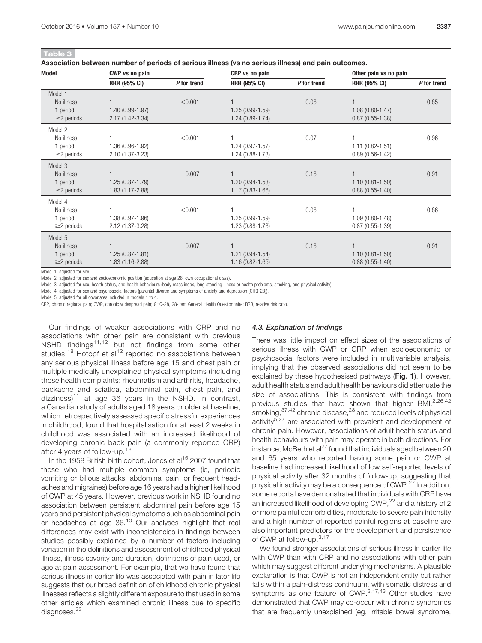| Association between number of periods of serious illness (vs no serious illness) and pain outcomes. |  |  |  |
|-----------------------------------------------------------------------------------------------------|--|--|--|
|                                                                                                     |  |  |  |

| <b>Model</b>     | <b>CWP vs no pain</b> |             | CRP vs no pain      |             | Other pain vs no pain |             |
|------------------|-----------------------|-------------|---------------------|-------------|-----------------------|-------------|
|                  | <b>RRR (95% CI)</b>   | P for trend | <b>RRR (95% CI)</b> | P for trend | <b>RRR (95% CI)</b>   | P for trend |
| Model 1          |                       |             |                     |             |                       |             |
| No illness       |                       | < 0.001     |                     | 0.06        |                       | 0.85        |
| 1 period         | $1.40(0.99-1.97)$     |             | $1.25(0.99-1.59)$   |             | $1.08(0.80-1.47)$     |             |
| $\geq$ periods   | 2.17 (1.42-3.34)      |             | $1.24(0.89-1.74)$   |             | $0.87(0.55 - 1.38)$   |             |
| Model 2          |                       |             |                     |             |                       |             |
| No illness       |                       | < 0.001     |                     | 0.07        |                       | 0.96        |
| 1 period         | 1.36 (0.96-1.92)      |             | $1.24(0.97 - 1.57)$ |             | $1.11(0.82 - 1.51)$   |             |
| $\geq$ 2 periods | 2.10 (1.37-3.23)      |             | 1.24 (0.88-1.73)    |             | $0.89(0.56 - 1.42)$   |             |
| Model 3          |                       |             |                     |             |                       |             |
| No illness       |                       | 0.007       |                     | 0.16        |                       | 0.91        |
| 1 period         | $1.25(0.87 - 1.79)$   |             | $1.20(0.94-1.53)$   |             | $1.10(0.81 - 1.50)$   |             |
| $\geq$ 2 periods | 1.83 (1.17-2.88)      |             | $1.17(0.83 - 1.66)$ |             | $0.88(0.55 - 1.40)$   |             |
| Model 4          |                       |             |                     |             |                       |             |
| No illness       |                       | < 0.001     |                     | 0.06        |                       | 0.86        |
| 1 period         | 1.38 (0.97-1.96)      |             | 1.25 (0.99-1.59)    |             | 1.09 (0.80-1.48)      |             |
| $\geq$ 2 periods | 2.12 (1.37-3.28)      |             | 1.23 (0.88-1.73)    |             | $0.87(0.55 - 1.39)$   |             |
| Model 5          |                       |             |                     |             |                       |             |
| No illness       |                       | 0.007       |                     | 0.16        |                       | 0.91        |
| 1 period         | $1.25(0.87 - 1.81)$   |             | $1.21(0.94-1.54)$   |             | $1.10(0.81 - 1.50)$   |             |
| $\geq$ 2 periods | 1.83 (1.16-2.88)      |             | $1.16(0.82 - 1.65)$ |             | $0.88(0.55 - 1.40)$   |             |

Model 1: adjusted for sex.

Model 2: adjusted for sex and socioeconomic position (education at age 26, own occupational class).

Model 3: adjusted for sex, health status, and health behaviours (body mass index, long-standing illness or health problems, smoking, and physical activity).

Model 4: adjusted for sex and psychosocial factors (parental divorce and symptoms of anxiety and depression [GHQ-28]).

Model 5: adjusted for all covariates included in models 1 to 4.

CRP, chronic regional pain; CWP, chronic widespread pain; GHQ-28, 28-item General Health Questionnaire; RRR, relative risk ratio.

Our findings of weaker associations with CRP and no associations with other pain are consistent with previous NSHD findings<sup>11,12</sup> but not findings from some other studies.<sup>18</sup> Hotopf et al<sup>12</sup> reported no associations between any serious physical illness before age 15 and chest pain or multiple medically unexplained physical symptoms (including these health complaints: rheumatism and arthritis, headache, backache and sciatica, abdominal pain, chest pain, and  $d$ izziness)<sup>11</sup> at age 36 years in the NSHD. In contrast, a Canadian study of adults aged 18 years or older at baseline, which retrospectively assessed specific stressful experiences in childhood, found that hospitalisation for at least 2 weeks in childhood was associated with an increased likelihood of developing chronic back pain (a commonly reported CRP) after 4 years of follow-up.<sup>18</sup>

In the 1958 British birth cohort, Jones et al $^{15}$  2007 found that those who had multiple common symptoms (ie, periodic vomiting or bilious attacks, abdominal pain, or frequent headaches and migraines) before age 16 years had a higher likelihood of CWP at 45 years. However, previous work in NSHD found no association between persistent abdominal pain before age 15 years and persistent physical symptoms such as abdominal pain or headaches at age 36.<sup>10</sup> Our analyses highlight that real differences may exist with inconsistencies in findings between studies possibly explained by a number of factors including variation in the definitions and assessment of childhood physical illness, illness severity and duration, definitions of pain used, or age at pain assessment. For example, that we have found that serious illness in earlier life was associated with pain in later life suggests that our broad definition of childhood chronic physical illnesses reflects a slightly different exposure to that used in some other articles which examined chronic illness due to specific diagnoses.<sup>33</sup>

## 4.3. Explanation of findings

There was little impact on effect sizes of the associations of serious illness with CWP or CRP when socioeconomic or psychosocial factors were included in multivariable analysis, implying that the observed associations did not seem to be explained by these hypothesised pathways (Fig. 1). However, adult health status and adult health behaviours did attenuate the size of associations. This is consistent with findings from previous studies that have shown that higher BMI, $^{2,26,42}$ smoking,  $37,42$  chronic disease,  $28$  and reduced levels of physical activity<sup>5,27</sup> are associated with prevalent and development of chronic pain. However, associations of adult health status and health behaviours with pain may operate in both directions. For instance, McBeth et al $^{27}$  found that individuals aged between 20 and 65 years who reported having some pain or CWP at baseline had increased likelihood of low self-reported levels of physical activity after 32 months of follow-up, suggesting that physical inactivity may be a consequence of CWP.<sup>27</sup> In addition, some reports have demonstrated that individuals with CRP have an increased likelihood of developing CWP, $^{22}$  and a history of 2 or more painful comorbidities, moderate to severe pain intensity and a high number of reported painful regions at baseline are also important predictors for the development and persistence of CWP at follow-up.<sup>3,17</sup>

We found stronger associations of serious illness in earlier life with CWP than with CRP and no associations with other pain which may suggest different underlying mechanisms. A plausible explanation is that CWP is not an independent entity but rather falls within a pain-distress continuum, with somatic distress and symptoms as one feature of CWP.<sup>3,17,43</sup> Other studies have demonstrated that CWP may co-occur with chronic syndromes that are frequently unexplained (eg, irritable bowel syndrome,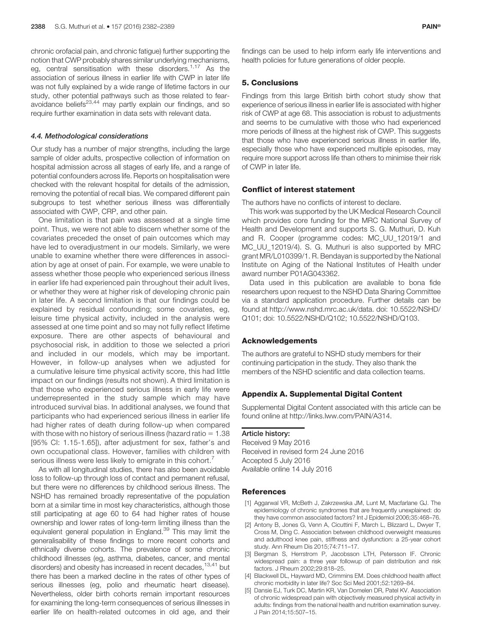chronic orofacial pain, and chronic fatigue) further supporting the notion that CWP probably shares similar underlying mechanisms, eg, central sensitisation with these disorders.<sup>1,17</sup> As the association of serious illness in earlier life with CWP in later life was not fully explained by a wide range of lifetime factors in our study, other potential pathways such as those related to fearavoidance beliefs $^{23,44}$  may partly explain our findings, and so require further examination in data sets with relevant data.

## 4.4. Methodological considerations

Our study has a number of major strengths, including the large sample of older adults, prospective collection of information on hospital admission across all stages of early life, and a range of potential confounders across life. Reports on hospitalisation were checked with the relevant hospital for details of the admission, removing the potential of recall bias. We compared different pain subgroups to test whether serious illness was differentially associated with CWP, CRP, and other pain.

One limitation is that pain was assessed at a single time point. Thus, we were not able to discern whether some of the covariates preceded the onset of pain outcomes which may have led to overadjustment in our models. Similarly, we were unable to examine whether there were differences in association by age at onset of pain. For example, we were unable to assess whether those people who experienced serious illness in earlier life had experienced pain throughout their adult lives, or whether they were at higher risk of developing chronic pain in later life. A second limitation is that our findings could be explained by residual confounding; some covariates, eg, leisure time physical activity, included in the analysis were assessed at one time point and so may not fully reflect lifetime exposure. There are other aspects of behavioural and psychosocial risk, in addition to those we selected a priori and included in our models, which may be important. However, in follow-up analyses when we adjusted for a cumulative leisure time physical activity score, this had little impact on our findings (results not shown). A third limitation is that those who experienced serious illness in early life were underrepresented in the study sample which may have introduced survival bias. In additional analyses, we found that participants who had experienced serious illness in earlier life had higher rates of death during follow-up when compared with those with no history of serious illness (hazard ratio  $= 1.38$ [95% CI: 1.15-1.65]), after adjustment for sex, father's and own occupational class. However, families with children with serious illness were less likely to emigrate in this cohort.

As with all longitudinal studies, there has also been avoidable loss to follow-up through loss of contact and permanent refusal, but there were no differences by childhood serious illness. The NSHD has remained broadly representative of the population born at a similar time in most key characteristics, although those still participating at age 60 to 64 had higher rates of house ownership and lower rates of long-term limiting illness than the equivalent general population in England.<sup>39</sup> This may limit the generalisability of these findings to more recent cohorts and ethnically diverse cohorts. The prevalence of some chronic childhood illnesses (eg, asthma, diabetes, cancer, and mental disorders) and obesity has increased in recent decades, <sup>13,41</sup> but there has been a marked decline in the rates of other types of serious illnesses (eg, polio and rheumatic heart disease). Nevertheless, older birth cohorts remain important resources for examining the long-term consequences of serious illnesses in earlier life on health-related outcomes in old age, and their findings can be used to help inform early life interventions and health policies for future generations of older people.

## 5. Conclusions

Findings from this large British birth cohort study show that experience of serious illness in earlier life is associated with higher risk of CWP at age 68. This association is robust to adjustments and seems to be cumulative with those who had experienced more periods of illness at the highest risk of CWP. This suggests that those who have experienced serious illness in earlier life, especially those who have experienced multiple episodes, may require more support across life than others to minimise their risk of CWP in later life.

## Conflict of interest statement

The authors have no conflicts of interest to declare.

This work was supported by the UK Medical Research Council which provides core funding for the MRC National Survey of Health and Development and supports S. G. Muthuri, D. Kuh and R. Cooper (programme codes: MC\_UU\_12019/1 and MC\_UU\_12019/4). S. G. Muthuri is also supported by MRC grant MR/L010399/1. R. Bendayan is supported by the National Institute on Aging of the National Institutes of Health under award number P01AG043362.

Data used in this publication are available to bona fide researchers upon request to the NSHD Data Sharing Committee via a standard application procedure. Further details can be found at [http://www.nshd.mrc.ac.uk/data.](http://www.nshd.mrc.ac.uk/data) doi: [10.5522/NSHD/](http://dx.doi.org/10.5522/NSHD/Q101) [Q101;](http://dx.doi.org/10.5522/NSHD/Q101) doi: [10.5522/NSHD/Q102; 10.5522/NSHD/Q103](http://dx.doi.org/10.5522/NSHD/Q102; 10.5522/NSHD/Q103).

## Acknowledgements

The authors are grateful to NSHD study members for their continuing participation in the study. They also thank the members of the NSHD scientific and data collection teams.

## Appendix A. Supplemental Digital Content

Supplemental Digital Content associated with this article can be found online at [http://links.lww.com/PAIN/A314.](http://links.lww.com/PAIN/A314)

Received 9 May 2016 Received in revised form 24 June 2016 Accepted 5 July 2016 Available online 14 July 2016

### **References**

- [1] Aggarwal VR, McBeth J, Zakrzewska JM, Lunt M, Macfarlane GJ. The epidemiology of chronic syndromes that are frequently unexplained: do they have common associated factors? Int J Epidemiol 2006;35:468–76.
- [2] Antony B, Jones G, Venn A, Cicuttini F, March L, Blizzard L, Dwyer T, Cross M, Ding C. Association between childhood overweight measures and adulthood knee pain, stiffness and dysfunction: a 25-year cohort study. Ann Rheum Dis 2015;74:711–17.
- [3] Bergman S, Herrstrom P, Jacobsson LTH, Petersson IF. Chronic widespread pain: a three year followup of pain distribution and risk factors. J Rheum 2002;29:818–25.
- [4] Blackwell DL, Hayward MD, Crimmins EM. Does childhood health affect chronic morbidity in later life? Soc Sci Med 2001;52:1269–84.
- [5] Dansie EJ, Turk DC, Martin KR, Van Domelen DR, Patel KV. Association of chronic widespread pain with objectively measured physical activity in adults: findings from the national health and nutrition examination survey. J Pain 2014;15:507–15.